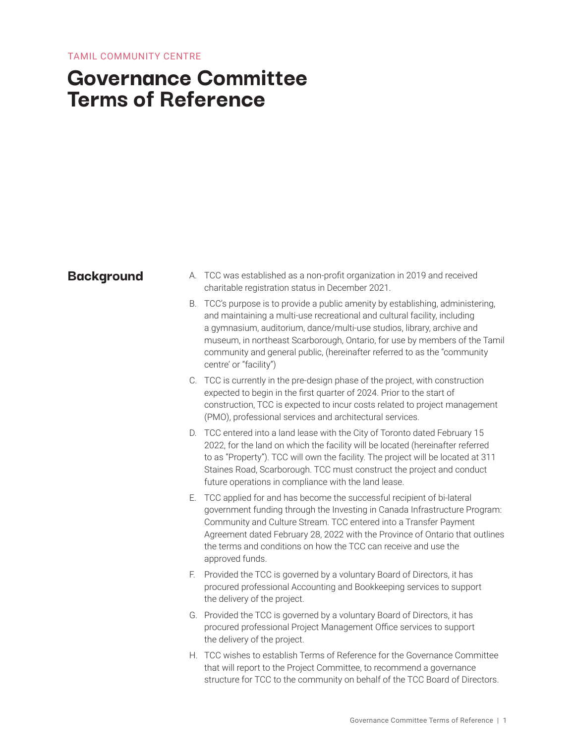# **Governance Committee Terms of Reference**

- **Background** A. TCC was established as a non-profit organization in 2019 and received charitable registration status in December 2021.
	- B. TCC's purpose is to provide a public amenity by establishing, administering, and maintaining a multi-use recreational and cultural facility, including a gymnasium, auditorium, dance/multi-use studios, library, archive and museum, in northeast Scarborough, Ontario, for use by members of the Tamil community and general public, (hereinafter referred to as the "community centre' or "facility")
	- C. TCC is currently in the pre-design phase of the project, with construction expected to begin in the first quarter of 2024. Prior to the start of construction, TCC is expected to incur costs related to project management (PMO), professional services and architectural services.
	- D. TCC entered into a land lease with the City of Toronto dated February 15 2022, for the land on which the facility will be located (hereinafter referred to as "Property"). TCC will own the facility. The project will be located at 311 Staines Road, Scarborough. TCC must construct the project and conduct future operations in compliance with the land lease.
	- E. TCC applied for and has become the successful recipient of bi-lateral government funding through the Investing in Canada Infrastructure Program: Community and Culture Stream. TCC entered into a Transfer Payment Agreement dated February 28, 2022 with the Province of Ontario that outlines the terms and conditions on how the TCC can receive and use the approved funds.
	- F. Provided the TCC is governed by a voluntary Board of Directors, it has procured professional Accounting and Bookkeeping services to support the delivery of the project.
	- G. Provided the TCC is governed by a voluntary Board of Directors, it has procured professional Project Management Office services to support the delivery of the project.
	- H. TCC wishes to establish Terms of Reference for the Governance Committee that will report to the Project Committee, to recommend a governance structure for TCC to the community on behalf of the TCC Board of Directors.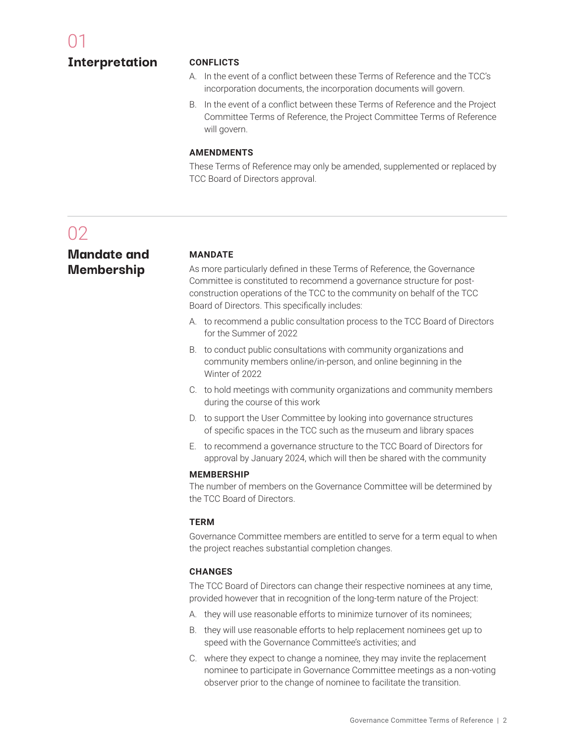### **Interpretation**

### **CONFLICTS**

- A. In the event of a conflict between these Terms of Reference and the TCC's incorporation documents, the incorporation documents will govern.
- B. In the event of a conflict between these Terms of Reference and the Project Committee Terms of Reference, the Project Committee Terms of Reference will govern.

### **AMENDMENTS**

These Terms of Reference may only be amended, supplemented or replaced by TCC Board of Directors approval.

# n<sub>2</sub>

**Mandate and Membership**

### **MANDATE**

As more particularly defined in these Terms of Reference, the Governance Committee is constituted to recommend a governance structure for postconstruction operations of the TCC to the community on behalf of the TCC Board of Directors. This specifically includes:

- A. to recommend a public consultation process to the TCC Board of Directors for the Summer of 2022
- B. to conduct public consultations with community organizations and community members online/in-person, and online beginning in the Winter of 2022
- C. to hold meetings with community organizations and community members during the course of this work
- D. to support the User Committee by looking into governance structures of specific spaces in the TCC such as the museum and library spaces
- E. to recommend a governance structure to the TCC Board of Directors for approval by January 2024, which will then be shared with the community

### **MEMBERSHIP**

The number of members on the Governance Committee will be determined by the TCC Board of Directors.

### **TERM**

Governance Committee members are entitled to serve for a term equal to when the project reaches substantial completion changes.

### **CHANGES**

The TCC Board of Directors can change their respective nominees at any time, provided however that in recognition of the long-term nature of the Project:

- A. they will use reasonable efforts to minimize turnover of its nominees;
- B. they will use reasonable efforts to help replacement nominees get up to speed with the Governance Committee's activities; and
- C. where they expect to change a nominee, they may invite the replacement nominee to participate in Governance Committee meetings as a non-voting observer prior to the change of nominee to facilitate the transition.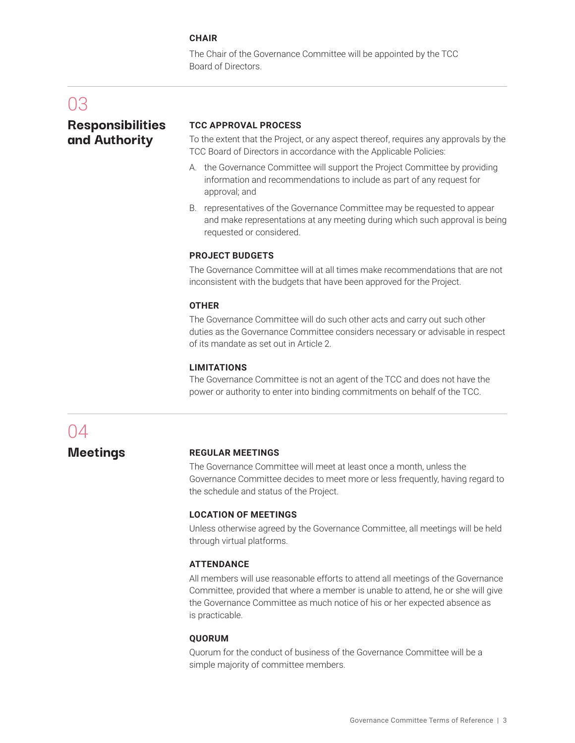### **CHAIR**

The Chair of the Governance Committee will be appointed by the TCC Board of Directors.

### 03

### **Responsibilities and Authority**

### **TCC APPROVAL PROCESS**

To the extent that the Project, or any aspect thereof, requires any approvals by the TCC Board of Directors in accordance with the Applicable Policies:

- A. the Governance Committee will support the Project Committee by providing information and recommendations to include as part of any request for approval; and
- B. representatives of the Governance Committee may be requested to appear and make representations at any meeting during which such approval is being requested or considered.

### **PROJECT BUDGETS**

The Governance Committee will at all times make recommendations that are not inconsistent with the budgets that have been approved for the Project.

### **OTHER**

The Governance Committee will do such other acts and carry out such other duties as the Governance Committee considers necessary or advisable in respect of its mandate as set out in Article 2.

### **LIMITATIONS**

The Governance Committee is not an agent of the TCC and does not have the power or authority to enter into binding commitments on behalf of the TCC.

## 04

**Meetings**

### **REGULAR MEETINGS**

The Governance Committee will meet at least once a month, unless the Governance Committee decides to meet more or less frequently, having regard to the schedule and status of the Project.

### **LOCATION OF MEETINGS**

Unless otherwise agreed by the Governance Committee, all meetings will be held through virtual platforms.

### **ATTENDANCE**

All members will use reasonable efforts to attend all meetings of the Governance Committee, provided that where a member is unable to attend, he or she will give the Governance Committee as much notice of his or her expected absence as is practicable.

### **QUORUM**

Quorum for the conduct of business of the Governance Committee will be a simple majority of committee members.